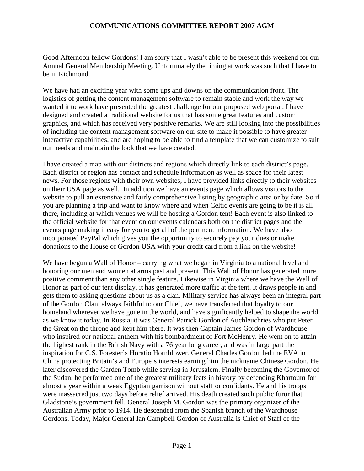## **COMMUNICATIONS COMMITTEE REPORT 2007 AGM**

Good Afternoon fellow Gordons! I am sorry that I wasn't able to be present this weekend for our Annual General Membership Meeting. Unfortunately the timing at work was such that I have to be in Richmond.

We have had an exciting year with some ups and downs on the communication front. The logistics of getting the content management software to remain stable and work the way we wanted it to work have presented the greatest challenge for our proposed web portal. I have designed and created a traditional website for us that has some great features and custom graphics, and which has received very positive remarks. We are still looking into the possibilities of including the content management software on our site to make it possible to have greater interactive capabilities, and are hoping to be able to find a template that we can customize to suit our needs and maintain the look that we have created.

I have created a map with our districts and regions which directly link to each district's page. Each district or region has contact and schedule information as well as space for their latest news. For those regions with their own websites, I have provided links directly to their websites on their USA page as well. In addition we have an events page which allows visitors to the website to pull an extensive and fairly comprehensive listing by geographic area or by date. So if you are planning a trip and want to know where and when Celtic events are going to be it is all there, including at which venues we will be hosting a Gordon tent! Each event is also linked to the official website for that event on our events calendars both on the district pages and the events page making it easy for you to get all of the pertinent information. We have also incorporated PayPal which gives you the opportunity to securely pay your dues or make donations to the House of Gordon USA with your credit card from a link on the website!

We have begun a Wall of Honor – carrying what we began in Virginia to a national level and honoring our men and women at arms past and present. This Wall of Honor has generated more positive comment than any other single feature. Likewise in Virginia where we have the Wall of Honor as part of our tent display, it has generated more traffic at the tent. It draws people in and gets them to asking questions about us as a clan. Military service has always been an integral part of the Gordon Clan, always faithful to our Chief, we have transferred that loyalty to our homeland wherever we have gone in the world, and have significantly helped to shape the world as we know it today. In Russia, it was General Patrick Gordon of Auchleuchries who put Peter the Great on the throne and kept him there. It was then Captain James Gordon of Wardhouse who inspired our national anthem with his bombardment of Fort McHenry. He went on to attain the highest rank in the British Navy with a 76 year long career, and was in large part the inspiration for C.S. Forester's Horatio Hornblower. General Charles Gordon led the EVA in China protecting Britain's and Europe's interests earning him the nickname Chinese Gordon. He later discovered the Garden Tomb while serving in Jerusalem. Finally becoming the Governor of the Sudan, he performed one of the greatest military feats in history by defending Khartoum for almost a year within a weak Egyptian garrison without staff or confidants. He and his troops were massacred just two days before relief arrived. His death created such public furor that Gladstone's government fell. General Joseph M. Gordon was the primary organizer of the Australian Army prior to 1914. He descended from the Spanish branch of the Wardhouse Gordons. Today, Major General Ian Campbell Gordon of Australia is Chief of Staff of the